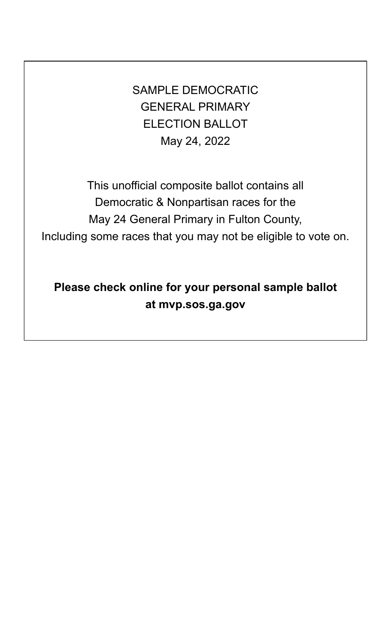SAMPLE DEMOCRATIC GENERAL PRIMARY ELECTION BALLOT May 24, 2022

This unofficial composite ballot contains all Democratic & Nonpartisan races for the May 24 General Primary in Fulton County, Including some races that you may not be eligible to vote on.

**Please check online for your personal sample ballot at mvp.sos.ga.gov**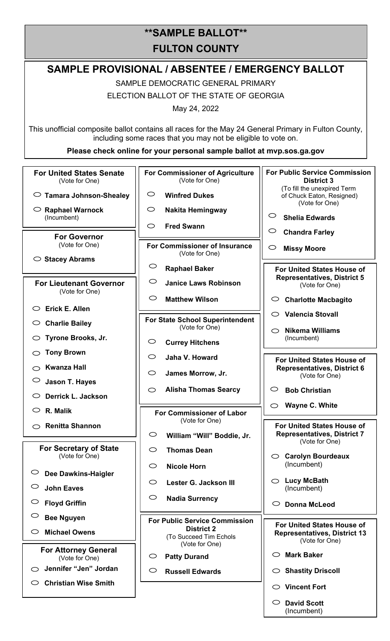# **\*\*SAMPLE BALLOT\*\* FULTON COUNTY**

# **SAMPLE PROVISIONAL / ABSENTEE / EMERGENCY BALLOT**

SAMPLE DEMOCRATIC GENERAL PRIMARY ELECTION BALLOT OF THE STATE OF GEORGIA

May 24, 2022

This unofficial composite ballot contains all races for the May 24 General Primary in Fulton County, including some races that you may not be eligible to vote on.

**Please check online for your personal sample ballot at mvp.sos.ga.gov** 

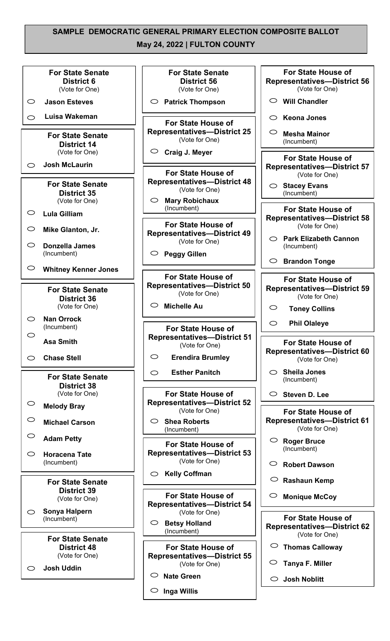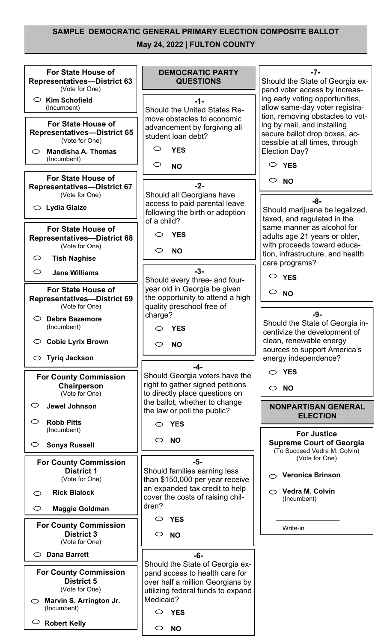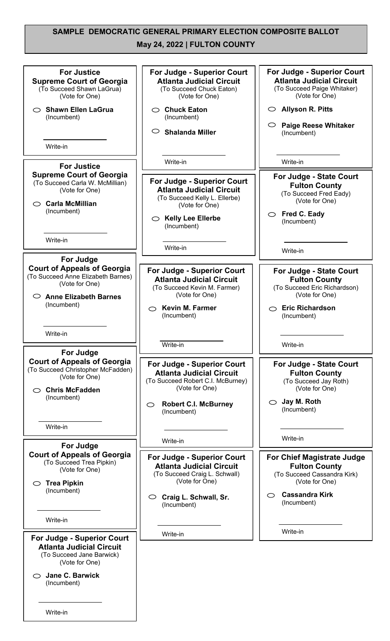## **SAMPLE DEMOCRATIC GENERAL PRIMARY ELECTION COMPOSITE BALLOT**

**May 24, 2022 | FULTON COUNTY**

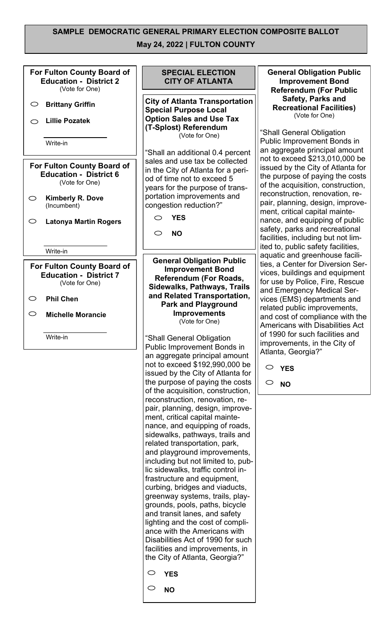

**YES**

 $\bigcirc$ **NO**

an aggregate principal amount not to exceed \$192,990,000 be issued by the City of Atlanta for the purpose of paying the costs of the acquisition, construction, reconstruction, renovation, repair, planning, design, improvement, critical capital maintenance, and equipping of roads, sidewalks, pathways, trails and related transportation, park, and playground improvements, including but not limited to, public sidewalks, traffic control infrastructure and equipment, curbing, bridges and viaducts, greenway systems, trails, playgrounds, pools, paths, bicycle and transit lanes, and safety lighting and the cost of compliance with the Americans with Disabilities Act of 1990 for such facilities and improvements, in the City of Atlanta, Georgia?"

 $\circ$ **YES**

 $\circ$ **NO**